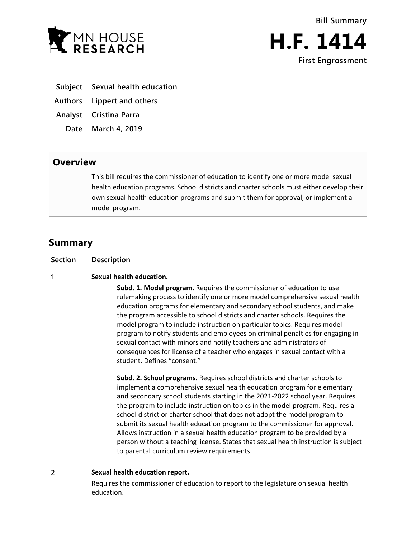



- **Subject Sexual health education**
- **Authors Lippert and others**
- **Analyst Cristina Parra**
	- **Date March 4, 2019**

## **Overview**

This bill requires the commissioner of education to identify one or more model sexual health education programs. School districts and charter schools must either develop their own sexual health education programs and submit them for approval, or implement a model program.

## **Summary**

 $\mathbf{1}$ 

## **Sexual health education.**

**Subd. 1. Model program.** Requires the commissioner of education to use rulemaking process to identify one or more model comprehensive sexual health education programs for elementary and secondary school students, and make the program accessible to school districts and charter schools. Requires the model program to include instruction on particular topics. Requires model program to notify students and employees on criminal penalties for engaging in sexual contact with minors and notify teachers and administrators of consequences for license of a teacher who engages in sexual contact with a student. Defines "consent."

**Subd. 2. School programs.** Requires school districts and charter schools to implement a comprehensive sexual health education program for elementary and secondary school students starting in the 2021-2022 school year. Requires the program to include instruction on topics in the model program. Requires a school district or charter school that does not adopt the model program to submit its sexual health education program to the commissioner for approval. Allows instruction in a sexual health education program to be provided by a person without a teaching license. States that sexual health instruction is subject to parental curriculum review requirements.

 $\overline{2}$ **Sexual health education report.**

> Requires the commissioner of education to report to the legislature on sexual health education.